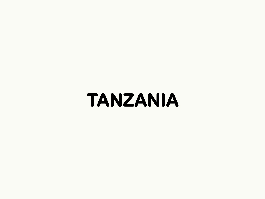## **TANZANIA**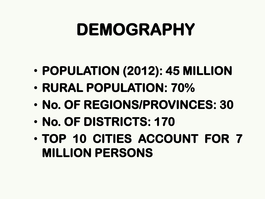# **DEMOGRAPHY**

- **POPULATION (2012): 45 MILLION**
- **RURAL POPULATION: 70%**
- **No. OF REGIONS/PROVINCES: 30**
- **No. OF DISTRICTS: 170**
- **TOP 10 CITIES ACCOUNT FOR 7 MILLION PERSONS**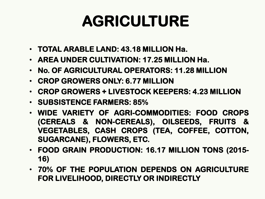#### **AGRICULTURE**

- **TOTAL ARABLE LAND: 43.18 MILLION Ha.**
- **AREA UNDER CULTIVATION: 17.25 MILLION Ha.**
- **No. OF AGRICULTURAL OPERATORS: 11.28 MILLION**
- **CROP GROWERS ONLY: 6.77 MILLION**
- **CROP GROWERS + LIVESTOCK KEEPERS: 4.23 MILLION**
- **SUBSISTENCE FARMERS: 85%**
- **WIDE VARIETY OF AGRI-COMMODITIES: FOOD CROPS (CEREALS & NON-CEREALS), OILSEEDS, FRUITS & VEGETABLES, CASH CROPS (TEA, COFFEE, COTTON, SUGARCANE), FLOWERS, ETC.**
- **FOOD GRAIN PRODUCTION: 16.17 MILLION TONS (2015- 16)**
- **70% OF THE POPULATION DEPENDS ON AGRICULTURE FOR LIVELIHOOD, DIRECTLY OR INDIRECTLY**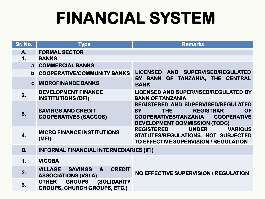# **FINANCIAL SYSTEM**

| Sr. No.       | <b>Type</b>                                                                                     | <b>Remarks</b>                                                                                                                                                                                |
|---------------|-------------------------------------------------------------------------------------------------|-----------------------------------------------------------------------------------------------------------------------------------------------------------------------------------------------|
| A.            | <b>FORMAL SECTOR</b>                                                                            |                                                                                                                                                                                               |
| $\mathbf 1$ . | <b>BANKS</b>                                                                                    |                                                                                                                                                                                               |
| a             | <b>COMMERCIAL BANKS</b>                                                                         |                                                                                                                                                                                               |
| $\mathbf b$   | <b>COOPERATIVE/COMMUNITY BANKS</b>                                                              | <b>LICENSED</b><br>AND SUPERVISED/REGULATED                                                                                                                                                   |
| $\mathbf{c}$  | <b>MICROFINANCE BANKS</b>                                                                       | BY BANK<br>OF TANZANIA, THE CENTRAL<br><b>BANK</b>                                                                                                                                            |
| 2.            | <b>DEVELOPMENT FINANCE</b><br><b>INSTITUTIONS (DFI)</b>                                         | <b>LICENSED AND SUPERVISED/REGULATED BY</b><br><b>BANK OF TANZANIA</b>                                                                                                                        |
| 3.            | <b>SAVINGS AND CREDIT</b><br><b>COOPERATIVES (SACCOS)</b>                                       | REGISTERED AND SUPERVISED/REGULATED<br><b>BY</b><br><b>THE</b><br><b>REGISTRAR</b><br><b>OF</b><br><b>COOPERATIVES/TANZANIA</b><br><b>COOPERATIVE</b><br><b>DEVELOPMENT COMMISSION (TCDC)</b> |
| 4.            | <b>MICRO FINANCE INSTITUTIONS</b><br>(MFI)                                                      | <b>UNDER</b><br><b>REGISTERED</b><br><b>VARIOUS</b><br>STATUTES/REGULATIONS. NOT SUBJECTED<br>TO EFFECTIVE SUPERVISION / REGULATION                                                           |
| <b>B.</b>     | <b>INFORMAL FINANCIAL INTERMEDIARIES (IFI)</b>                                                  |                                                                                                                                                                                               |
| 1.            | <b>VICOBA</b>                                                                                   |                                                                                                                                                                                               |
| 2.            | <b>VILLAGE</b><br><b>SAVINGS</b><br>$\mathbf{a}$<br><b>CREDIT</b><br><b>ASSOCIATIONS (VSLA)</b> | NO EFFECTIVE SUPERVISION / REGULATION                                                                                                                                                         |
| 3.            | <b>GROUPS</b><br><b>(SOLIDARITY)</b><br><b>OTHER</b><br><b>GROUPS, CHURCH GROUPS, ETC.)</b>     |                                                                                                                                                                                               |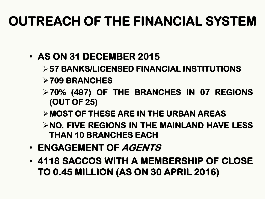#### **OUTREACH OF THE FINANCIAL SYSTEM**

- **AS ON 31 DECEMBER 2015**
	- ➢**57 BANKS/LICENSED FINANCIAL INSTITUTIONS**
	- ➢**709 BRANCHES**
	- ➢**70% (497) OF THE BRANCHES IN 07 REGIONS (OUT OF 25)**
	- ➢**MOST OF THESE ARE IN THE URBAN AREAS**
	- ➢**NO. FIVE REGIONS IN THE MAINLAND HAVE LESS THAN 10 BRANCHES EACH**
- **ENGAGEMENT OF AGENTS**
- **4118 SACCOS WITH A MEMBERSHIP OF CLOSE TO 0.45 MILLION (AS ON 30 APRIL 2016)**